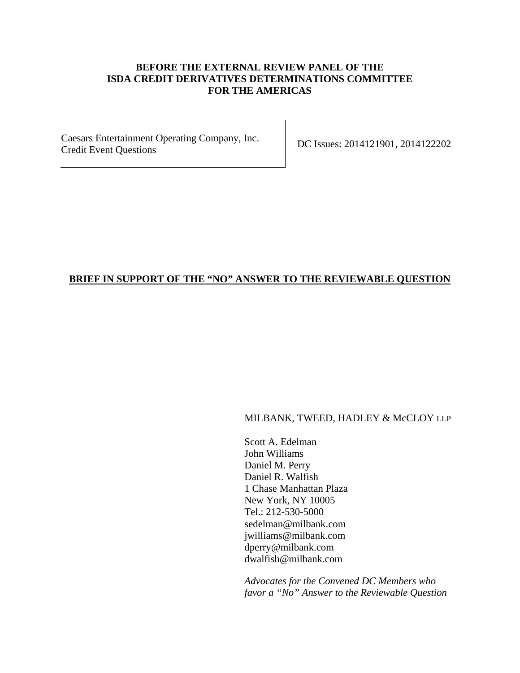## **BEFORE THE EXTERNAL REVIEW PANEL OF THE ISDA CREDIT DERIVATIVES DETERMINATIONS COMMITTEE FOR THE AMERICAS**

Caesars Entertainment Operating Company, Inc. Caesars Encritaminent Operating Company, Inc.<br>Credit Event Questions <u>DC Issues: 2014121901, 2014122202</u>

### **BRIEF IN SUPPORT OF THE "NO" ANSWER TO THE REVIEWABLE QUESTION**

#### MILBANK, TWEED, HADLEY & McCLOY LLP

Scott A. Edelman John Williams Daniel M. Perry Daniel R. Walfish 1 Chase Manhattan Plaza New York, NY 10005 Tel.: 212-530-5000 sedelman@milbank.com jwilliams@milbank.com dperry@milbank.com dwalfish@milbank.com

*Advocates for the Convened DC Members who favor a "No" Answer to the Reviewable Question*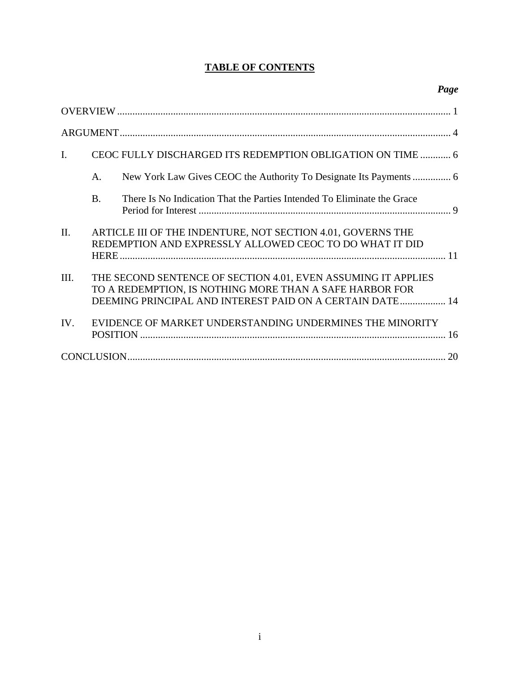# **TABLE OF CONTENTS**

| $\mathbf{I}$ . |           | CEOC FULLY DISCHARGED ITS REDEMPTION OBLIGATION ON TIME  6                                                                                                                           |  |  |  |
|----------------|-----------|--------------------------------------------------------------------------------------------------------------------------------------------------------------------------------------|--|--|--|
|                | A.        |                                                                                                                                                                                      |  |  |  |
|                | <b>B.</b> | There Is No Indication That the Parties Intended To Eliminate the Grace                                                                                                              |  |  |  |
| II.            |           | ARTICLE III OF THE INDENTURE, NOT SECTION 4.01, GOVERNS THE<br>REDEMPTION AND EXPRESSLY ALLOWED CEOC TO DO WHAT IT DID                                                               |  |  |  |
| III.           |           | THE SECOND SENTENCE OF SECTION 4.01, EVEN ASSUMING IT APPLIES<br>TO A REDEMPTION, IS NOTHING MORE THAN A SAFE HARBOR FOR<br>DEEMING PRINCIPAL AND INTEREST PAID ON A CERTAIN DATE 14 |  |  |  |
| IV.            |           | EVIDENCE OF MARKET UNDERSTANDING UNDERMINES THE MINORITY                                                                                                                             |  |  |  |
|                |           |                                                                                                                                                                                      |  |  |  |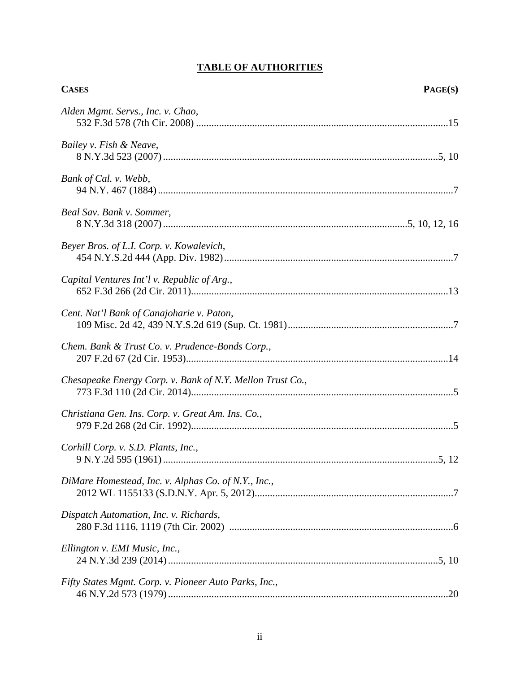# **TABLE OF AUTHORITIES**

| <b>CASES</b>                                              | PAGE(S) |
|-----------------------------------------------------------|---------|
| Alden Mgmt. Servs., Inc. v. Chao,                         |         |
| Bailey v. Fish & Neave,                                   |         |
| Bank of Cal. v. Webb,                                     |         |
| Beal Sav. Bank v. Sommer,                                 |         |
| Beyer Bros. of L.I. Corp. v. Kowalevich,                  |         |
| Capital Ventures Int'l v. Republic of Arg.,               |         |
| Cent. Nat'l Bank of Canajoharie v. Paton,                 |         |
| Chem. Bank & Trust Co. v. Prudence-Bonds Corp.,           |         |
| Chesapeake Energy Corp. v. Bank of N.Y. Mellon Trust Co., |         |
| Christiana Gen. Ins. Corp. v. Great Am. Ins. Co.,         |         |
| Corhill Corp. v. S.D. Plants, Inc.,                       |         |
| DiMare Homestead, Inc. v. Alphas Co. of N.Y., Inc.,       |         |
| Dispatch Automation, Inc. v. Richards,                    |         |
| Ellington v. EMI Music, Inc.,                             |         |
| Fifty States Mgmt. Corp. v. Pioneer Auto Parks, Inc.,     |         |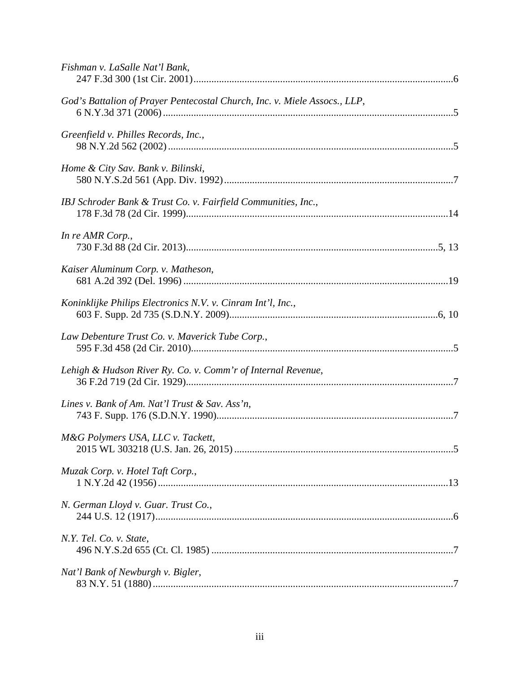| Fishman v. LaSalle Nat'l Bank,                                            |
|---------------------------------------------------------------------------|
| God's Battalion of Prayer Pentecostal Church, Inc. v. Miele Assocs., LLP, |
| Greenfield v. Philles Records, Inc.,                                      |
| Home & City Sav. Bank v. Bilinski,                                        |
| IBJ Schroder Bank & Trust Co. v. Fairfield Communities, Inc.,             |
| In re AMR Corp.,                                                          |
| Kaiser Aluminum Corp. v. Matheson,                                        |
| Koninklijke Philips Electronics N.V. v. Cinram Int'l, Inc.,               |
| Law Debenture Trust Co. v. Maverick Tube Corp.,                           |
| Lehigh & Hudson River Ry. Co. v. Comm'r of Internal Revenue,              |
| Lines v. Bank of Am. Nat'l Trust & Sav. Ass'n,                            |
| M&G Polymers USA, LLC v. Tackett,                                         |
| Muzak Corp. v. Hotel Taft Corp.,                                          |
| N. German Lloyd v. Guar. Trust Co.,                                       |
| N.Y. Tel. Co. v. State,                                                   |
| Nat'l Bank of Newburgh v. Bigler,                                         |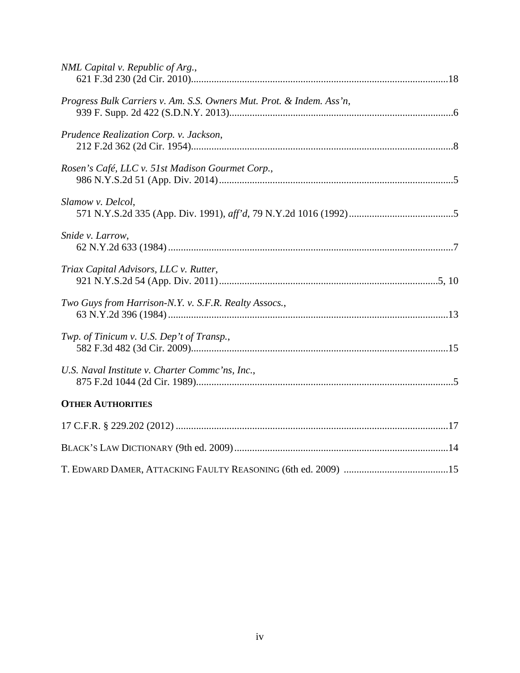| NML Capital v. Republic of Arg.,                                     |  |
|----------------------------------------------------------------------|--|
| Progress Bulk Carriers v. Am. S.S. Owners Mut. Prot. & Indem. Ass'n, |  |
| Prudence Realization Corp. v. Jackson,                               |  |
| Rosen's Café, LLC v. 51st Madison Gourmet Corp.,                     |  |
| Slamow v. Delcol,                                                    |  |
| Snide v. Larrow,                                                     |  |
| Triax Capital Advisors, LLC v. Rutter,                               |  |
| Two Guys from Harrison-N.Y. v. S.F.R. Realty Assocs.,                |  |
| Twp. of Tinicum v. U.S. Dep't of Transp.,                            |  |
| U.S. Naval Institute v. Charter Commc'ns, Inc.,                      |  |
| <b>OTHER AUTHORITIES</b>                                             |  |
|                                                                      |  |
|                                                                      |  |
|                                                                      |  |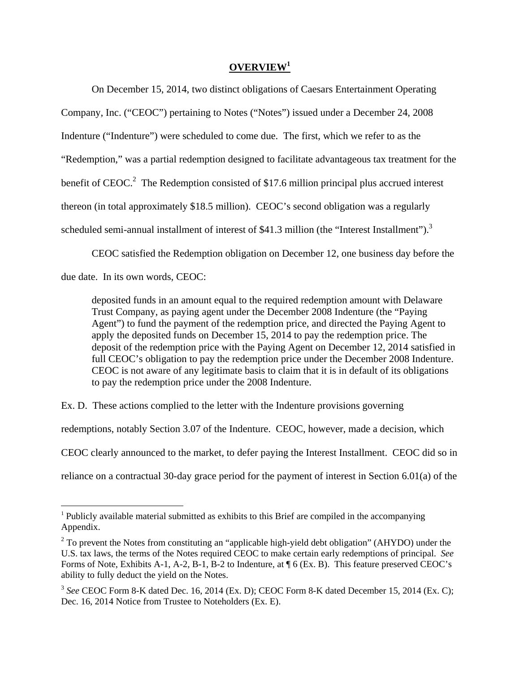#### **OVERVIEW<sup>1</sup>**

On December 15, 2014, two distinct obligations of Caesars Entertainment Operating Company, Inc. ("CEOC") pertaining to Notes ("Notes") issued under a December 24, 2008 Indenture ("Indenture") were scheduled to come due. The first, which we refer to as the "Redemption," was a partial redemption designed to facilitate advantageous tax treatment for the benefit of CEOC.<sup>2</sup> The Redemption consisted of \$17.6 million principal plus accrued interest thereon (in total approximately \$18.5 million). CEOC's second obligation was a regularly scheduled semi-annual installment of interest of \$41.3 million (the "Interest Installment").<sup>3</sup>

CEOC satisfied the Redemption obligation on December 12, one business day before the due date. In its own words, CEOC:

deposited funds in an amount equal to the required redemption amount with Delaware Trust Company, as paying agent under the December 2008 Indenture (the "Paying Agent") to fund the payment of the redemption price, and directed the Paying Agent to apply the deposited funds on December 15, 2014 to pay the redemption price. The deposit of the redemption price with the Paying Agent on December 12, 2014 satisfied in full CEOC's obligation to pay the redemption price under the December 2008 Indenture. CEOC is not aware of any legitimate basis to claim that it is in default of its obligations to pay the redemption price under the 2008 Indenture.

Ex. D. These actions complied to the letter with the Indenture provisions governing

redemptions, notably Section 3.07 of the Indenture. CEOC, however, made a decision, which

CEOC clearly announced to the market, to defer paying the Interest Installment. CEOC did so in

reliance on a contractual 30-day grace period for the payment of interest in Section 6.01(a) of the

<sup>1</sup> Publicly available material submitted as exhibits to this Brief are compiled in the accompanying Appendix.

 $2^{2}$  To prevent the Notes from constituting an "applicable high-yield debt obligation" (AHYDO) under the U.S. tax laws, the terms of the Notes required CEOC to make certain early redemptions of principal. *See*  Forms of Note, Exhibits A-1, A-2, B-1, B-2 to Indenture, at ¶ 6 (Ex. B). This feature preserved CEOC's ability to fully deduct the yield on the Notes.

<sup>&</sup>lt;sup>3</sup> See CEOC Form 8-K dated Dec. 16, 2014 (Ex. D); CEOC Form 8-K dated December 15, 2014 (Ex. C); Dec. 16, 2014 Notice from Trustee to Noteholders (Ex. E).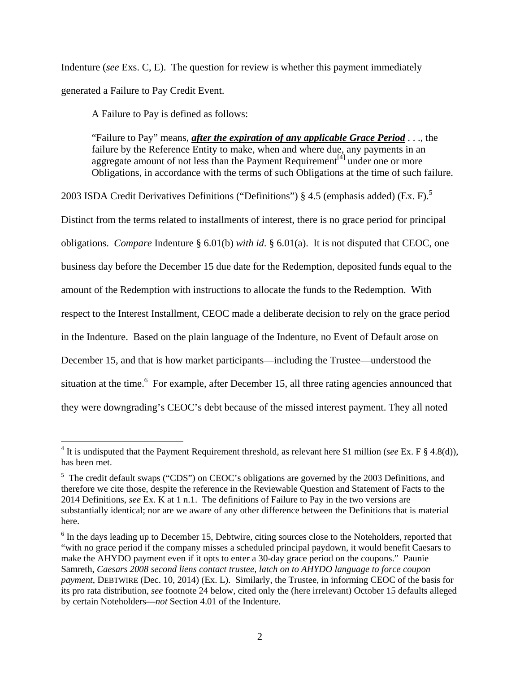Indenture (*see* Exs. C, E). The question for review is whether this payment immediately generated a Failure to Pay Credit Event.

A Failure to Pay is defined as follows:

"Failure to Pay" means, *after the expiration of any applicable Grace Period* . . ., the failure by the Reference Entity to make, when and where due, any payments in an aggregate amount of not less than the Payment Requirement<sup>[4]</sup> under one or more Obligations, in accordance with the terms of such Obligations at the time of such failure.

2003 ISDA Credit Derivatives Definitions ("Definitions") § 4.5 (emphasis added) (Ex. F).<sup>5</sup> Distinct from the terms related to installments of interest, there is no grace period for principal obligations. *Compare* Indenture § 6.01(b) *with id*. § 6.01(a). It is not disputed that CEOC, one business day before the December 15 due date for the Redemption, deposited funds equal to the amount of the Redemption with instructions to allocate the funds to the Redemption. With respect to the Interest Installment, CEOC made a deliberate decision to rely on the grace period in the Indenture. Based on the plain language of the Indenture, no Event of Default arose on December 15, and that is how market participants—including the Trustee—understood the situation at the time.<sup>6</sup> For example, after December 15, all three rating agencies announced that they were downgrading's CEOC's debt because of the missed interest payment. They all noted

 $\overline{a}$ <sup>4</sup> It is undisputed that the Payment Requirement threshold, as relevant here \$1 million (*see* Ex. F  $\S$  4.8(d)), has been met.

<sup>&</sup>lt;sup>5</sup> The credit default swaps ("CDS") on CEOC's obligations are governed by the 2003 Definitions, and therefore we cite those, despite the reference in the Reviewable Question and Statement of Facts to the 2014 Definitions, *see* Ex. K at 1 n.1. The definitions of Failure to Pay in the two versions are substantially identical; nor are we aware of any other difference between the Definitions that is material here.

 $6$  In the days leading up to December 15, Debtwire, citing sources close to the Noteholders, reported that "with no grace period if the company misses a scheduled principal paydown, it would benefit Caesars to make the AHYDO payment even if it opts to enter a 30-day grace period on the coupons." Paunie Samreth, *Caesars 2008 second liens contact trustee, latch on to AHYDO language to force coupon payment*, DEBTWIRE (Dec. 10, 2014) (Ex. L). Similarly, the Trustee, in informing CEOC of the basis for its pro rata distribution, *see* footnote 24 below, cited only the (here irrelevant) October 15 defaults alleged by certain Noteholders—*not* Section 4.01 of the Indenture.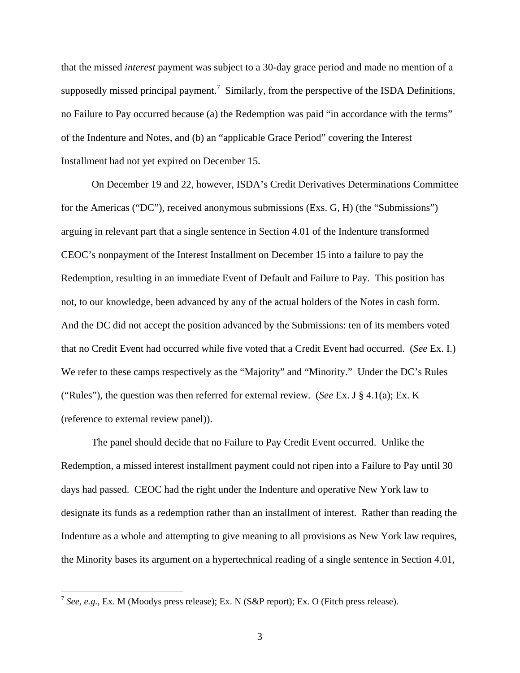that the missed *interest* payment was subject to a 30-day grace period and made no mention of a supposedly missed principal payment.<sup>7</sup> Similarly, from the perspective of the ISDA Definitions, no Failure to Pay occurred because (a) the Redemption was paid "in accordance with the terms" of the Indenture and Notes, and (b) an "applicable Grace Period" covering the Interest Installment had not yet expired on December 15.

On December 19 and 22, however, ISDA's Credit Derivatives Determinations Committee for the Americas ("DC"), received anonymous submissions (Exs. G, H) (the "Submissions") arguing in relevant part that a single sentence in Section 4.01 of the Indenture transformed CEOC's nonpayment of the Interest Installment on December 15 into a failure to pay the Redemption, resulting in an immediate Event of Default and Failure to Pay. This position has not, to our knowledge, been advanced by any of the actual holders of the Notes in cash form. And the DC did not accept the position advanced by the Submissions: ten of its members voted that no Credit Event had occurred while five voted that a Credit Event had occurred. (*See* Ex. I.) We refer to these camps respectively as the "Majority" and "Minority." Under the DC's Rules ("Rules"), the question was then referred for external review. (*See* Ex. J § 4.1(a); Ex. K (reference to external review panel)).

The panel should decide that no Failure to Pay Credit Event occurred. Unlike the Redemption, a missed interest installment payment could not ripen into a Failure to Pay until 30 days had passed. CEOC had the right under the Indenture and operative New York law to designate its funds as a redemption rather than an installment of interest. Rather than reading the Indenture as a whole and attempting to give meaning to all provisions as New York law requires, the Minority bases its argument on a hypertechnical reading of a single sentence in Section 4.01,

<u>.</u>

<sup>7</sup> *See, e.g.*, Ex. M (Moodys press release); Ex. N (S&P report); Ex. O (Fitch press release).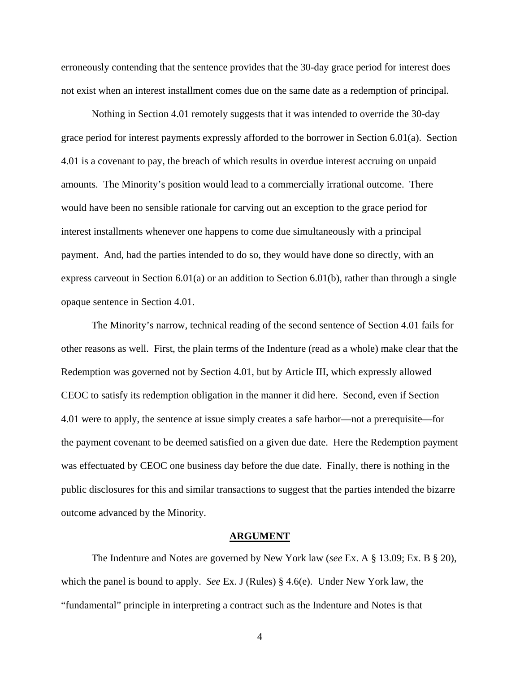erroneously contending that the sentence provides that the 30-day grace period for interest does not exist when an interest installment comes due on the same date as a redemption of principal.

Nothing in Section 4.01 remotely suggests that it was intended to override the 30-day grace period for interest payments expressly afforded to the borrower in Section 6.01(a). Section 4.01 is a covenant to pay, the breach of which results in overdue interest accruing on unpaid amounts. The Minority's position would lead to a commercially irrational outcome. There would have been no sensible rationale for carving out an exception to the grace period for interest installments whenever one happens to come due simultaneously with a principal payment. And, had the parties intended to do so, they would have done so directly, with an express carveout in Section 6.01(a) or an addition to Section 6.01(b), rather than through a single opaque sentence in Section 4.01.

The Minority's narrow, technical reading of the second sentence of Section 4.01 fails for other reasons as well. First, the plain terms of the Indenture (read as a whole) make clear that the Redemption was governed not by Section 4.01, but by Article III, which expressly allowed CEOC to satisfy its redemption obligation in the manner it did here. Second, even if Section 4.01 were to apply, the sentence at issue simply creates a safe harbor—not a prerequisite—for the payment covenant to be deemed satisfied on a given due date. Here the Redemption payment was effectuated by CEOC one business day before the due date. Finally, there is nothing in the public disclosures for this and similar transactions to suggest that the parties intended the bizarre outcome advanced by the Minority.

#### **ARGUMENT**

 The Indenture and Notes are governed by New York law (*see* Ex. A § 13.09; Ex. B § 20), which the panel is bound to apply. *See* Ex. J (Rules) § 4.6(e). Under New York law, the "fundamental" principle in interpreting a contract such as the Indenture and Notes is that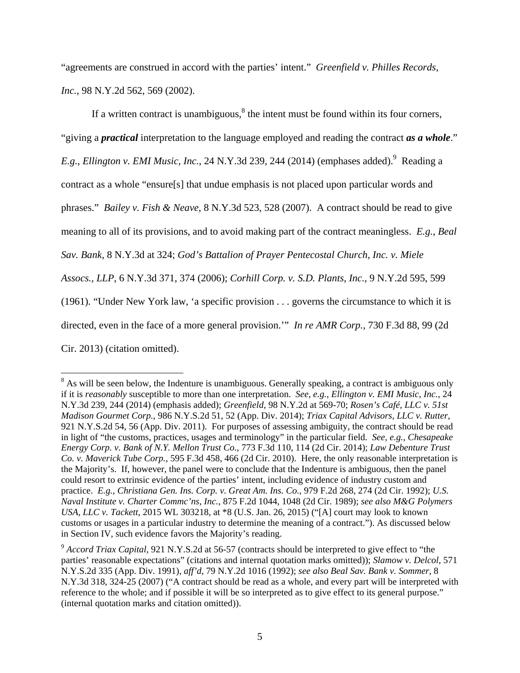"agreements are construed in accord with the parties' intent." *Greenfield v. Philles Records, Inc.*, 98 N.Y.2d 562, 569 (2002).

If a written contract is unambiguous, $<sup>8</sup>$  the intent must be found within its four corners,</sup> "giving a *practical* interpretation to the language employed and reading the contract *as a whole*."  $E.g.,$  *Ellington v. EMI Music, Inc.*, 24 N.Y.3d 239, 244 (2014) (emphases added).<sup>9</sup> Reading a contract as a whole "ensure[s] that undue emphasis is not placed upon particular words and phrases." *Bailey v. Fish & Neave*, 8 N.Y.3d 523, 528 (2007). A contract should be read to give meaning to all of its provisions, and to avoid making part of the contract meaningless. *E.g.*, *Beal Sav. Bank*, 8 N.Y.3d at 324; *God's Battalion of Prayer Pentecostal Church, Inc. v. Miele Assocs., LLP*, 6 N.Y.3d 371, 374 (2006); *Corhill Corp. v. S.D. Plants, Inc.*, 9 N.Y.2d 595, 599 (1961)*.* "Under New York law, 'a specific provision . . . governs the circumstance to which it is directed, even in the face of a more general provision.'" *In re AMR Corp.*, 730 F.3d 88, 99 (2d Cir. 2013) (citation omitted).

<sup>&</sup>lt;sup>8</sup> As will be seen below, the Indenture is unambiguous. Generally speaking, a contract is ambiguous only if it is *reasonably* susceptible to more than one interpretation. *See, e.g.*, *Ellington v. EMI Music, Inc.*, 24 N.Y.3d 239, 244 (2014) (emphasis added); *Greenfield*, 98 N.Y.2d at 569-70; *Rosen's Café, LLC v. 51st Madison Gourmet Corp.*, 986 N.Y.S.2d 51, 52 (App. Div. 2014); *Triax Capital Advisors, LLC v. Rutter*, 921 N.Y.S.2d 54, 56 (App. Div. 2011). For purposes of assessing ambiguity, the contract should be read in light of "the customs, practices, usages and terminology" in the particular field. *See, e.g.*, *Chesapeake Energy Corp. v. Bank of N.Y. Mellon Trust Co.*, 773 F.3d 110, 114 (2d Cir. 2014); *Law Debenture Trust Co. v. Maverick Tube Corp.*, 595 F.3d 458, 466 (2d Cir. 2010). Here, the only reasonable interpretation is the Majority's. If, however, the panel were to conclude that the Indenture is ambiguous, then the panel could resort to extrinsic evidence of the parties' intent, including evidence of industry custom and practice. *E.g.*, *Christiana Gen. Ins. Corp. v. Great Am. Ins. Co.*, 979 F.2d 268, 274 (2d Cir. 1992); *U.S. Naval Institute v. Charter Commc'ns, Inc.*, 875 F.2d 1044, 1048 (2d Cir. 1989); *see also M&G Polymers USA, LLC v. Tackett*, 2015 WL 303218, at \*8 (U.S. Jan. 26, 2015) ("[A] court may look to known customs or usages in a particular industry to determine the meaning of a contract."). As discussed below in Section IV, such evidence favors the Majority's reading.

<sup>9</sup> *Accord Triax Capital*, 921 N.Y.S.2d at 56-57 (contracts should be interpreted to give effect to "the parties' reasonable expectations" (citations and internal quotation marks omitted)); *Slamow v. Delcol*, 571 N.Y.S.2d 335 (App. Div. 1991), *aff'd*, 79 N.Y.2d 1016 (1992); *see also Beal Sav. Bank v. Sommer*, 8 N.Y.3d 318, 324-25 (2007) ("A contract should be read as a whole, and every part will be interpreted with reference to the whole; and if possible it will be so interpreted as to give effect to its general purpose." (internal quotation marks and citation omitted)).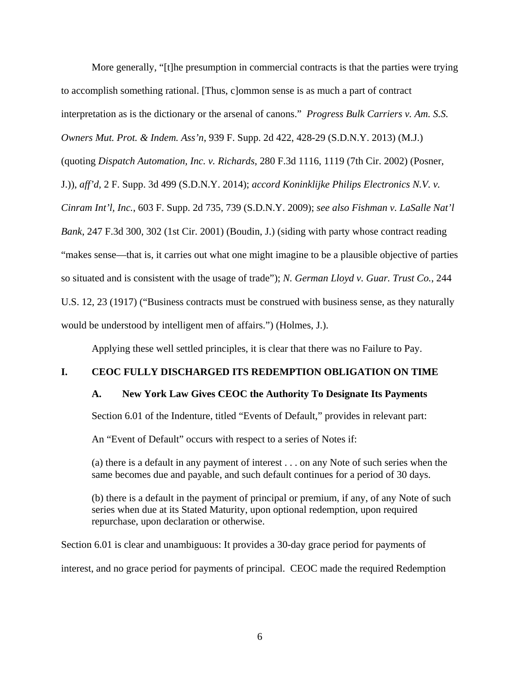More generally, "[t]he presumption in commercial contracts is that the parties were trying to accomplish something rational. [Thus, c]ommon sense is as much a part of contract interpretation as is the dictionary or the arsenal of canons." *Progress Bulk Carriers v. Am. S.S. Owners Mut. Prot. & Indem. Ass'n*, 939 F. Supp. 2d 422, 428-29 (S.D.N.Y. 2013) (M.J.) (quoting *Dispatch Automation, Inc. v. Richards*, 280 F.3d 1116, 1119 (7th Cir. 2002) (Posner, J.)), *aff'd*, 2 F. Supp. 3d 499 (S.D.N.Y. 2014); *accord Koninklijke Philips Electronics N.V. v. Cinram Int'l, Inc.*, 603 F. Supp. 2d 735, 739 (S.D.N.Y. 2009); *see also Fishman v. LaSalle Nat'l Bank*, 247 F.3d 300, 302 (1st Cir. 2001) (Boudin, J.) (siding with party whose contract reading "makes sense—that is, it carries out what one might imagine to be a plausible objective of parties so situated and is consistent with the usage of trade"); *N. German Lloyd v. Guar. Trust Co.*, 244 U.S. 12, 23 (1917) ("Business contracts must be construed with business sense, as they naturally would be understood by intelligent men of affairs.") (Holmes, J.).

Applying these well settled principles, it is clear that there was no Failure to Pay.

### **I. CEOC FULLY DISCHARGED ITS REDEMPTION OBLIGATION ON TIME**

#### **A. New York Law Gives CEOC the Authority To Designate Its Payments**

Section 6.01 of the Indenture, titled "Events of Default," provides in relevant part:

An "Event of Default" occurs with respect to a series of Notes if:

(a) there is a default in any payment of interest . . . on any Note of such series when the same becomes due and payable, and such default continues for a period of 30 days.

(b) there is a default in the payment of principal or premium, if any, of any Note of such series when due at its Stated Maturity, upon optional redemption, upon required repurchase, upon declaration or otherwise.

Section 6.01 is clear and unambiguous: It provides a 30-day grace period for payments of interest, and no grace period for payments of principal. CEOC made the required Redemption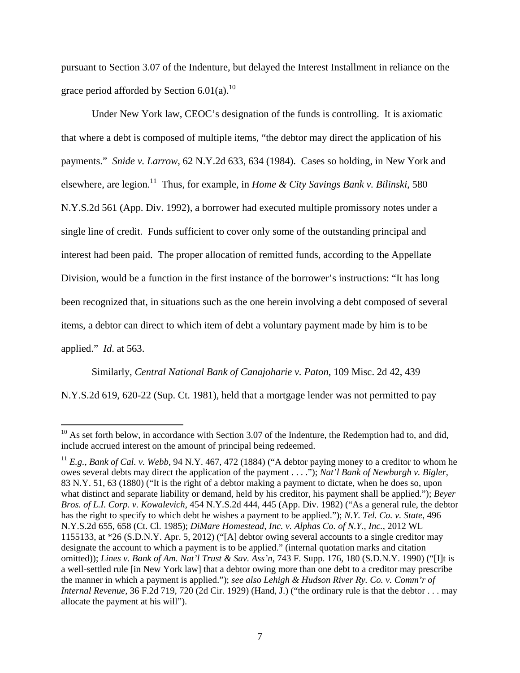pursuant to Section 3.07 of the Indenture, but delayed the Interest Installment in reliance on the grace period afforded by Section 6.01(a).<sup>10</sup>

Under New York law, CEOC's designation of the funds is controlling. It is axiomatic that where a debt is composed of multiple items, "the debtor may direct the application of his payments." *Snide v. Larrow*, 62 N.Y.2d 633, 634 (1984). Cases so holding, in New York and elsewhere, are legion.11 Thus, for example, in *Home & City Savings Bank v. Bilinski*, 580 N.Y.S.2d 561 (App. Div. 1992), a borrower had executed multiple promissory notes under a single line of credit. Funds sufficient to cover only some of the outstanding principal and interest had been paid. The proper allocation of remitted funds, according to the Appellate Division, would be a function in the first instance of the borrower's instructions: "It has long been recognized that, in situations such as the one herein involving a debt composed of several items, a debtor can direct to which item of debt a voluntary payment made by him is to be applied." *Id*. at 563.

Similarly, *Central National Bank of Canajoharie v. Paton*, 109 Misc. 2d 42, 439

N.Y.S.2d 619, 620-22 (Sup. Ct. 1981), held that a mortgage lender was not permitted to pay

<u>.</u>

 $10$  As set forth below, in accordance with Section 3.07 of the Indenture, the Redemption had to, and did, include accrued interest on the amount of principal being redeemed.

 $11$  *E.g.*, *Bank of Cal. v. Webb*, 94 N.Y. 467, 472 (1884) ("A debtor paying money to a creditor to whom he owes several debts may direct the application of the payment . . . ."); *Nat'l Bank of Newburgh v. Bigler*, 83 N.Y. 51, 63 (1880) ("It is the right of a debtor making a payment to dictate, when he does so, upon what distinct and separate liability or demand, held by his creditor, his payment shall be applied."); *Beyer Bros. of L.I. Corp. v. Kowalevich*, 454 N.Y.S.2d 444, 445 (App. Div. 1982) ("As a general rule, the debtor has the right to specify to which debt he wishes a payment to be applied."); *N.Y. Tel. Co. v. State*, 496 N.Y.S.2d 655, 658 (Ct. Cl. 1985); *DiMare Homestead, Inc. v. Alphas Co. of N.Y., Inc.*, 2012 WL 1155133, at \*26 (S.D.N.Y. Apr. 5, 2012) ("[A] debtor owing several accounts to a single creditor may designate the account to which a payment is to be applied." (internal quotation marks and citation omitted)); *Lines v. Bank of Am. Nat'l Trust & Sav. Ass'n*, 743 F. Supp. 176, 180 (S.D.N.Y. 1990) ("[I]t is a well-settled rule [in New York law] that a debtor owing more than one debt to a creditor may prescribe the manner in which a payment is applied."); *see also Lehigh & Hudson River Ry. Co. v. Comm'r of Internal Revenue*, 36 F.2d 719, 720 (2d Cir. 1929) (Hand, J.) ("the ordinary rule is that the debtor . . . may allocate the payment at his will").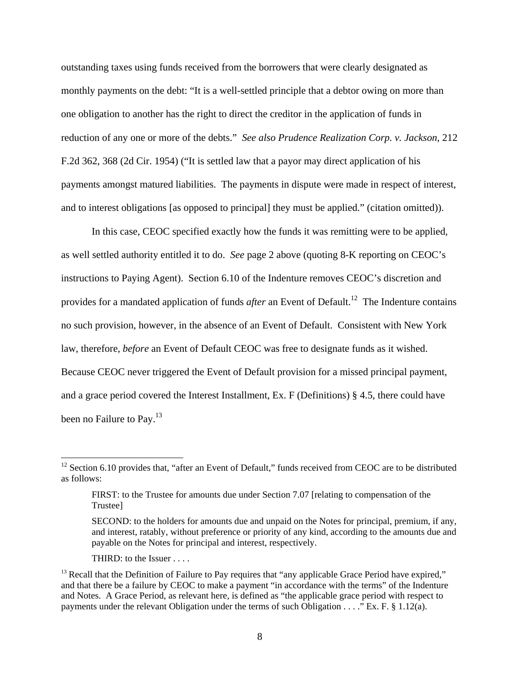outstanding taxes using funds received from the borrowers that were clearly designated as monthly payments on the debt: "It is a well-settled principle that a debtor owing on more than one obligation to another has the right to direct the creditor in the application of funds in reduction of any one or more of the debts." *See also Prudence Realization Corp. v. Jackson*, 212 F.2d 362, 368 (2d Cir. 1954) ("It is settled law that a payor may direct application of his payments amongst matured liabilities. The payments in dispute were made in respect of interest, and to interest obligations [as opposed to principal] they must be applied." (citation omitted)).

In this case, CEOC specified exactly how the funds it was remitting were to be applied, as well settled authority entitled it to do. *See* page 2 above (quoting 8-K reporting on CEOC's instructions to Paying Agent). Section 6.10 of the Indenture removes CEOC's discretion and provides for a mandated application of funds *after* an Event of Default.<sup>12</sup> The Indenture contains no such provision, however, in the absence of an Event of Default. Consistent with New York law, therefore, *before* an Event of Default CEOC was free to designate funds as it wished. Because CEOC never triggered the Event of Default provision for a missed principal payment, and a grace period covered the Interest Installment, Ex. F (Definitions) § 4.5, there could have been no Failure to Pay.<sup>13</sup>

<u>.</u>

 $12$  Section 6.10 provides that, "after an Event of Default," funds received from CEOC are to be distributed as follows:

FIRST: to the Trustee for amounts due under Section 7.07 [relating to compensation of the Trustee]

SECOND: to the holders for amounts due and unpaid on the Notes for principal, premium, if any, and interest, ratably, without preference or priority of any kind, according to the amounts due and payable on the Notes for principal and interest, respectively.

THIRD: to the Issuer . . . .

<sup>&</sup>lt;sup>13</sup> Recall that the Definition of Failure to Pay requires that "any applicable Grace Period have expired," and that there be a failure by CEOC to make a payment "in accordance with the terms" of the Indenture and Notes. A Grace Period, as relevant here, is defined as "the applicable grace period with respect to payments under the relevant Obligation under the terms of such Obligation . . . ." Ex. F. § 1.12(a).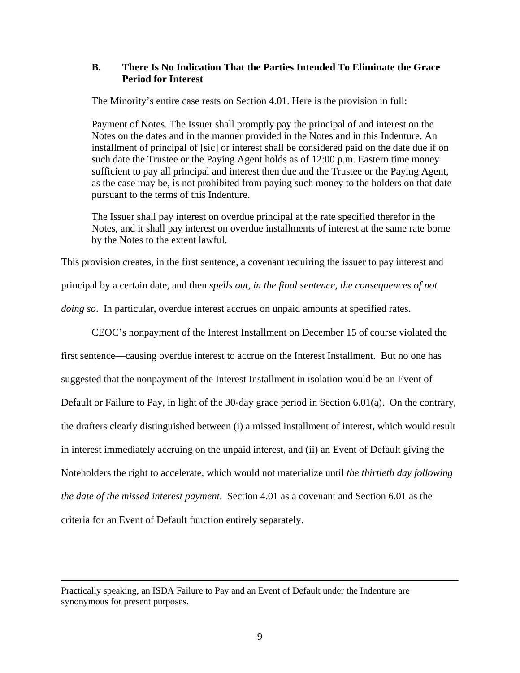### **B. There Is No Indication That the Parties Intended To Eliminate the Grace Period for Interest**

The Minority's entire case rests on Section 4.01. Here is the provision in full:

Payment of Notes. The Issuer shall promptly pay the principal of and interest on the Notes on the dates and in the manner provided in the Notes and in this Indenture. An installment of principal of [sic] or interest shall be considered paid on the date due if on such date the Trustee or the Paying Agent holds as of 12:00 p.m. Eastern time money sufficient to pay all principal and interest then due and the Trustee or the Paying Agent, as the case may be, is not prohibited from paying such money to the holders on that date pursuant to the terms of this Indenture.

The Issuer shall pay interest on overdue principal at the rate specified therefor in the Notes, and it shall pay interest on overdue installments of interest at the same rate borne by the Notes to the extent lawful.

This provision creates, in the first sentence, a covenant requiring the issuer to pay interest and

principal by a certain date, and then *spells out, in the final sentence, the consequences of not* 

*doing so*. In particular, overdue interest accrues on unpaid amounts at specified rates.

CEOC's nonpayment of the Interest Installment on December 15 of course violated the

first sentence—causing overdue interest to accrue on the Interest Installment. But no one has suggested that the nonpayment of the Interest Installment in isolation would be an Event of Default or Failure to Pay, in light of the 30-day grace period in Section 6.01(a). On the contrary, the drafters clearly distinguished between (i) a missed installment of interest, which would result in interest immediately accruing on the unpaid interest, and (ii) an Event of Default giving the Noteholders the right to accelerate, which would not materialize until *the thirtieth day following the date of the missed interest payment*. Section 4.01 as a covenant and Section 6.01 as the criteria for an Event of Default function entirely separately.

Practically speaking, an ISDA Failure to Pay and an Event of Default under the Indenture are synonymous for present purposes.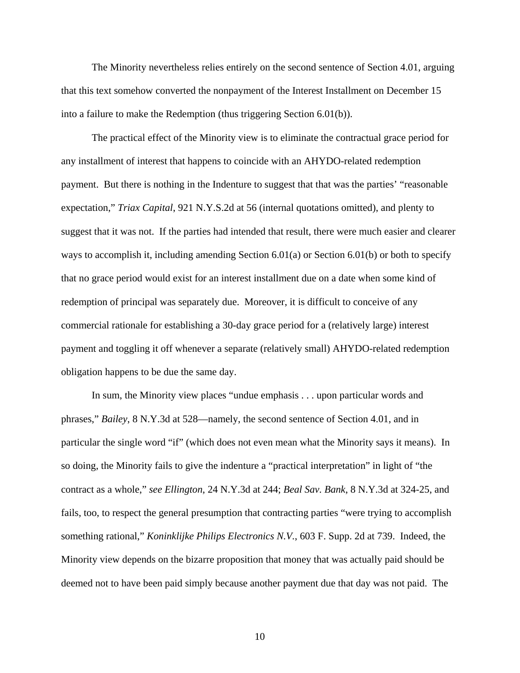The Minority nevertheless relies entirely on the second sentence of Section 4.01, arguing that this text somehow converted the nonpayment of the Interest Installment on December 15 into a failure to make the Redemption (thus triggering Section 6.01(b)).

The practical effect of the Minority view is to eliminate the contractual grace period for any installment of interest that happens to coincide with an AHYDO-related redemption payment. But there is nothing in the Indenture to suggest that that was the parties' "reasonable expectation," *Triax Capital*, 921 N.Y.S.2d at 56 (internal quotations omitted), and plenty to suggest that it was not. If the parties had intended that result, there were much easier and clearer ways to accomplish it, including amending Section 6.01(a) or Section 6.01(b) or both to specify that no grace period would exist for an interest installment due on a date when some kind of redemption of principal was separately due. Moreover, it is difficult to conceive of any commercial rationale for establishing a 30-day grace period for a (relatively large) interest payment and toggling it off whenever a separate (relatively small) AHYDO-related redemption obligation happens to be due the same day.

In sum, the Minority view places "undue emphasis . . . upon particular words and phrases," *Bailey*, 8 N.Y.3d at 528—namely, the second sentence of Section 4.01, and in particular the single word "if" (which does not even mean what the Minority says it means). In so doing, the Minority fails to give the indenture a "practical interpretation" in light of "the contract as a whole," *see Ellington*, 24 N.Y.3d at 244; *Beal Sav. Bank*, 8 N.Y.3d at 324-25, and fails, too, to respect the general presumption that contracting parties "were trying to accomplish something rational," *Koninklijke Philips Electronics N.V.*, 603 F. Supp. 2d at 739. Indeed, the Minority view depends on the bizarre proposition that money that was actually paid should be deemed not to have been paid simply because another payment due that day was not paid. The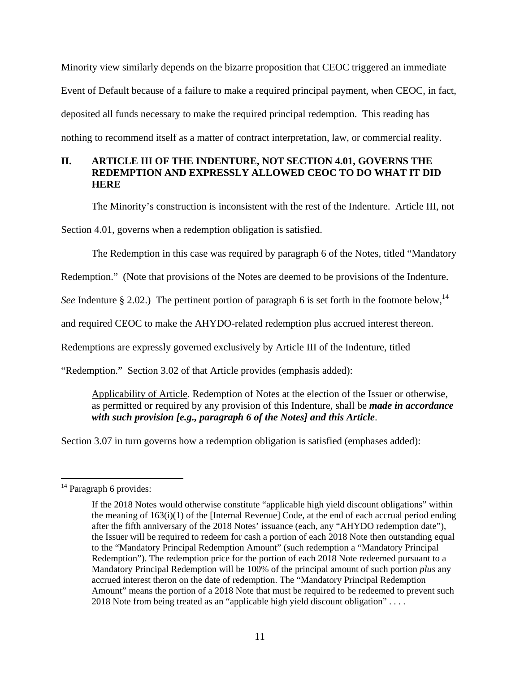Minority view similarly depends on the bizarre proposition that CEOC triggered an immediate Event of Default because of a failure to make a required principal payment, when CEOC, in fact, deposited all funds necessary to make the required principal redemption. This reading has nothing to recommend itself as a matter of contract interpretation, law, or commercial reality.

# **II. ARTICLE III OF THE INDENTURE, NOT SECTION 4.01, GOVERNS THE REDEMPTION AND EXPRESSLY ALLOWED CEOC TO DO WHAT IT DID HERE**

The Minority's construction is inconsistent with the rest of the Indenture. Article III, not

Section 4.01, governs when a redemption obligation is satisfied.

The Redemption in this case was required by paragraph 6 of the Notes, titled "Mandatory

Redemption." (Note that provisions of the Notes are deemed to be provisions of the Indenture.

*See* Indenture § 2.02.) The pertinent portion of paragraph 6 is set forth in the footnote below, <sup>14</sup>

and required CEOC to make the AHYDO-related redemption plus accrued interest thereon.

Redemptions are expressly governed exclusively by Article III of the Indenture, titled

"Redemption." Section 3.02 of that Article provides (emphasis added):

Applicability of Article. Redemption of Notes at the election of the Issuer or otherwise, as permitted or required by any provision of this Indenture, shall be *made in accordance with such provision [e.g., paragraph 6 of the Notes] and this Article*.

Section 3.07 in turn governs how a redemption obligation is satisfied (emphases added):

 $14$  Paragraph 6 provides:

If the 2018 Notes would otherwise constitute "applicable high yield discount obligations" within the meaning of 163(i)(1) of the [Internal Revenue] Code, at the end of each accrual period ending after the fifth anniversary of the 2018 Notes' issuance (each, any "AHYDO redemption date"), the Issuer will be required to redeem for cash a portion of each 2018 Note then outstanding equal to the "Mandatory Principal Redemption Amount" (such redemption a "Mandatory Principal Redemption"). The redemption price for the portion of each 2018 Note redeemed pursuant to a Mandatory Principal Redemption will be 100% of the principal amount of such portion *plus* any accrued interest theron on the date of redemption. The "Mandatory Principal Redemption Amount" means the portion of a 2018 Note that must be required to be redeemed to prevent such 2018 Note from being treated as an "applicable high yield discount obligation" . . . .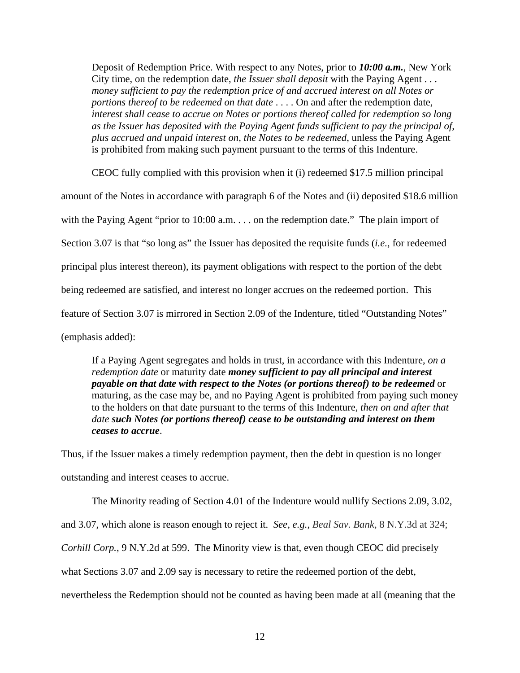Deposit of Redemption Price. With respect to any Notes, prior to *10:00 a.m.*, New York City time, on the redemption date, *the Issuer shall deposit* with the Paying Agent . . . *money sufficient to pay the redemption price of and accrued interest on all Notes or portions thereof to be redeemed on that date* . . . . On and after the redemption date, *interest shall cease to accrue on Notes or portions thereof called for redemption so long as the Issuer has deposited with the Paying Agent funds sufficient to pay the principal of, plus accrued and unpaid interest on, the Notes to be redeemed*, unless the Paying Agent is prohibited from making such payment pursuant to the terms of this Indenture.

CEOC fully complied with this provision when it (i) redeemed \$17.5 million principal amount of the Notes in accordance with paragraph 6 of the Notes and (ii) deposited \$18.6 million with the Paying Agent "prior to 10:00 a.m. . . . on the redemption date." The plain import of Section 3.07 is that "so long as" the Issuer has deposited the requisite funds (*i.e.*, for redeemed principal plus interest thereon), its payment obligations with respect to the portion of the debt being redeemed are satisfied, and interest no longer accrues on the redeemed portion. This feature of Section 3.07 is mirrored in Section 2.09 of the Indenture, titled "Outstanding Notes" (emphasis added):

If a Paying Agent segregates and holds in trust, in accordance with this Indenture, *on a redemption date* or maturity date *money sufficient to pay all principal and interest payable on that date with respect to the Notes (or portions thereof) to be redeemed* or maturing, as the case may be, and no Paying Agent is prohibited from paying such money to the holders on that date pursuant to the terms of this Indenture, *then on and after that date such Notes (or portions thereof) cease to be outstanding and interest on them ceases to accrue*.

Thus, if the Issuer makes a timely redemption payment, then the debt in question is no longer outstanding and interest ceases to accrue.

The Minority reading of Section 4.01 of the Indenture would nullify Sections 2.09, 3.02, and 3.07, which alone is reason enough to reject it. *See, e.g.*, *Beal Sav. Bank*, 8 N.Y.3d at 324; *Corhill Corp.*, 9 N.Y.2d at 599. The Minority view is that, even though CEOC did precisely what Sections 3.07 and 2.09 say is necessary to retire the redeemed portion of the debt, nevertheless the Redemption should not be counted as having been made at all (meaning that the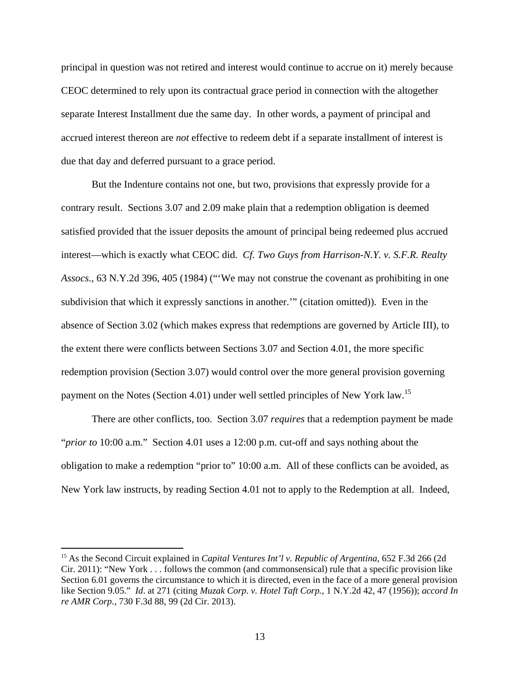principal in question was not retired and interest would continue to accrue on it) merely because CEOC determined to rely upon its contractual grace period in connection with the altogether separate Interest Installment due the same day. In other words, a payment of principal and accrued interest thereon are *not* effective to redeem debt if a separate installment of interest is due that day and deferred pursuant to a grace period.

But the Indenture contains not one, but two, provisions that expressly provide for a contrary result. Sections 3.07 and 2.09 make plain that a redemption obligation is deemed satisfied provided that the issuer deposits the amount of principal being redeemed plus accrued interest—which is exactly what CEOC did. *Cf. Two Guys from Harrison-N.Y. v. S.F.R. Realty Assocs.*, 63 N.Y.2d 396, 405 (1984) ("'We may not construe the covenant as prohibiting in one subdivision that which it expressly sanctions in another.'" (citation omitted)). Even in the absence of Section 3.02 (which makes express that redemptions are governed by Article III), to the extent there were conflicts between Sections 3.07 and Section 4.01, the more specific redemption provision (Section 3.07) would control over the more general provision governing payment on the Notes (Section 4.01) under well settled principles of New York law.<sup>15</sup>

There are other conflicts, too. Section 3.07 *requires* that a redemption payment be made "*prior to* 10:00 a.m." Section 4.01 uses a 12:00 p.m. cut-off and says nothing about the obligation to make a redemption "prior to" 10:00 a.m. All of these conflicts can be avoided, as New York law instructs, by reading Section 4.01 not to apply to the Redemption at all. Indeed,

<u>.</u>

<sup>15</sup> As the Second Circuit explained in *Capital Ventures Int'l v. Republic of Argentina*, 652 F.3d 266 (2d Cir. 2011): "New York . . . follows the common (and commonsensical) rule that a specific provision like Section 6.01 governs the circumstance to which it is directed, even in the face of a more general provision like Section 9.05." *Id*. at 271 (citing *Muzak Corp. v. Hotel Taft Corp.*, 1 N.Y.2d 42, 47 (1956)); *accord In re AMR Corp.*, 730 F.3d 88, 99 (2d Cir. 2013).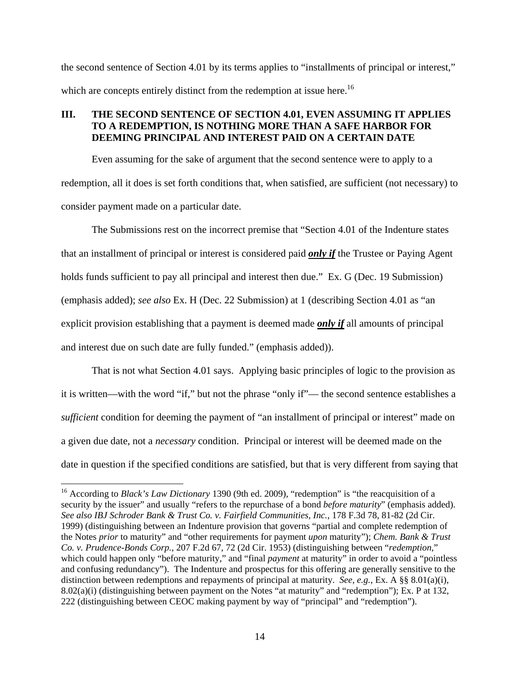the second sentence of Section 4.01 by its terms applies to "installments of principal or interest," which are concepts entirely distinct from the redemption at issue here.<sup>16</sup>

# **III. THE SECOND SENTENCE OF SECTION 4.01, EVEN ASSUMING IT APPLIES TO A REDEMPTION, IS NOTHING MORE THAN A SAFE HARBOR FOR DEEMING PRINCIPAL AND INTEREST PAID ON A CERTAIN DATE**

Even assuming for the sake of argument that the second sentence were to apply to a redemption, all it does is set forth conditions that, when satisfied, are sufficient (not necessary) to consider payment made on a particular date.

The Submissions rest on the incorrect premise that "Section 4.01 of the Indenture states that an installment of principal or interest is considered paid *only if* the Trustee or Paying Agent holds funds sufficient to pay all principal and interest then due." Ex. G (Dec. 19 Submission) (emphasis added); *see also* Ex. H (Dec. 22 Submission) at 1 (describing Section 4.01 as "an explicit provision establishing that a payment is deemed made *only if* all amounts of principal and interest due on such date are fully funded." (emphasis added)).

That is not what Section 4.01 says. Applying basic principles of logic to the provision as it is written—with the word "if," but not the phrase "only if"— the second sentence establishes a *sufficient* condition for deeming the payment of "an installment of principal or interest" made on a given due date, not a *necessary* condition. Principal or interest will be deemed made on the date in question if the specified conditions are satisfied, but that is very different from saying that

<sup>&</sup>lt;sup>16</sup> According to *Black's Law Dictionary* 1390 (9th ed. 2009), "redemption" is "the reacquisition of a security by the issuer" and usually "refers to the repurchase of a bond *before maturity*" (emphasis added). *See also IBJ Schroder Bank & Trust Co. v. Fairfield Communities, Inc.*, 178 F.3d 78, 81-82 (2d Cir. 1999) (distinguishing between an Indenture provision that governs "partial and complete redemption of the Notes *prior* to maturity" and "other requirements for payment *upon* maturity"); *Chem. Bank & Trust Co. v. Prudence-Bonds Corp.*, 207 F.2d 67, 72 (2d Cir. 1953) (distinguishing between "*redemption*," which could happen only "before maturity," and "final *payment* at maturity" in order to avoid a "pointless" and confusing redundancy").The Indenture and prospectus for this offering are generally sensitive to the distinction between redemptions and repayments of principal at maturity. *See, e.g.*, Ex. A §§ 8.01(a)(i), 8.02(a)(i) (distinguishing between payment on the Notes "at maturity" and "redemption"); Ex. P at 132, 222 (distinguishing between CEOC making payment by way of "principal" and "redemption").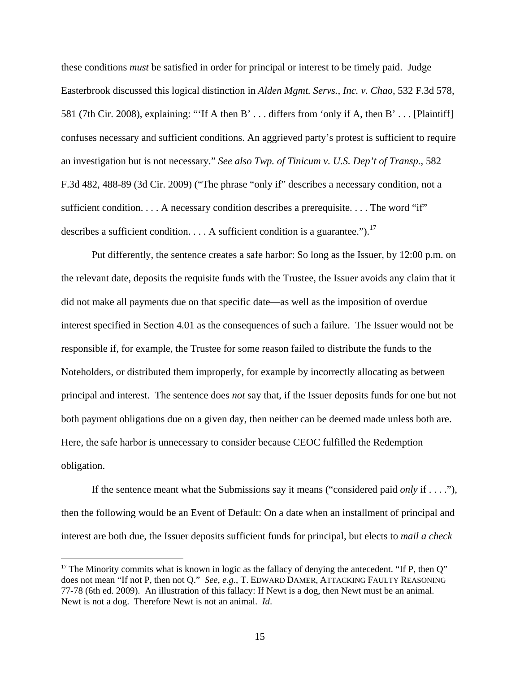these conditions *must* be satisfied in order for principal or interest to be timely paid. Judge Easterbrook discussed this logical distinction in *Alden Mgmt. Servs., Inc. v. Chao*, 532 F.3d 578, 581 (7th Cir. 2008), explaining: "'If A then B' . . . differs from 'only if A, then B' . . . [Plaintiff] confuses necessary and sufficient conditions. An aggrieved party's protest is sufficient to require an investigation but is not necessary." *See also Twp. of Tinicum v. U.S. Dep't of Transp.*, 582 F.3d 482, 488-89 (3d Cir. 2009) ("The phrase "only if" describes a necessary condition, not a sufficient condition.  $\dots$  A necessary condition describes a prerequisite.  $\dots$  The word "if" describes a sufficient condition.  $\ldots$  A sufficient condition is a guarantee.").<sup>17</sup>

Put differently, the sentence creates a safe harbor: So long as the Issuer, by 12:00 p.m. on the relevant date, deposits the requisite funds with the Trustee, the Issuer avoids any claim that it did not make all payments due on that specific date—as well as the imposition of overdue interest specified in Section 4.01 as the consequences of such a failure. The Issuer would not be responsible if, for example, the Trustee for some reason failed to distribute the funds to the Noteholders, or distributed them improperly, for example by incorrectly allocating as between principal and interest. The sentence does *not* say that, if the Issuer deposits funds for one but not both payment obligations due on a given day, then neither can be deemed made unless both are. Here, the safe harbor is unnecessary to consider because CEOC fulfilled the Redemption obligation.

If the sentence meant what the Submissions say it means ("considered paid *only* if . . . ."), then the following would be an Event of Default: On a date when an installment of principal and interest are both due, the Issuer deposits sufficient funds for principal, but elects to *mail a check*

 $17$  The Minority commits what is known in logic as the fallacy of denying the antecedent. "If P, then Q" does not mean "If not P, then not Q." *See, e.g.*, T. EDWARD DAMER, ATTACKING FAULTY REASONING 77-78 (6th ed. 2009). An illustration of this fallacy: If Newt is a dog, then Newt must be an animal. Newt is not a dog. Therefore Newt is not an animal. *Id*.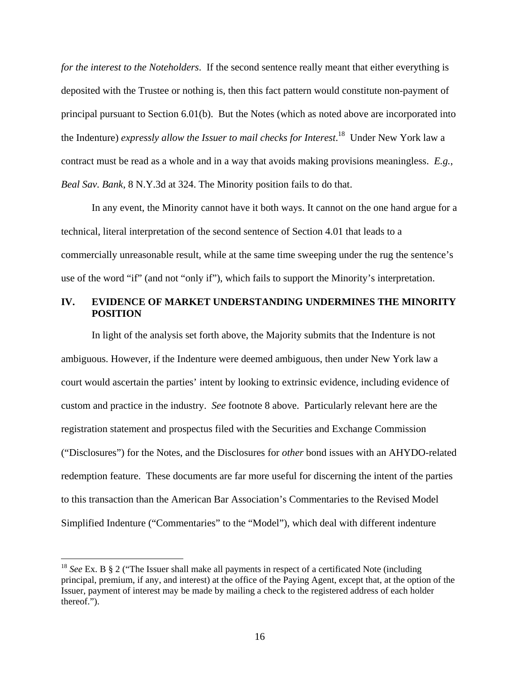*for the interest to the Noteholders*. If the second sentence really meant that either everything is deposited with the Trustee or nothing is, then this fact pattern would constitute non-payment of principal pursuant to Section 6.01(b). But the Notes (which as noted above are incorporated into the Indenture) *expressly allow the Issuer to mail checks for Interest*. 18 Under New York law a contract must be read as a whole and in a way that avoids making provisions meaningless. *E.g.*, *Beal Sav. Bank*, 8 N.Y.3d at 324. The Minority position fails to do that.

In any event, the Minority cannot have it both ways. It cannot on the one hand argue for a technical, literal interpretation of the second sentence of Section 4.01 that leads to a commercially unreasonable result, while at the same time sweeping under the rug the sentence's use of the word "if" (and not "only if"), which fails to support the Minority's interpretation.

#### **IV. EVIDENCE OF MARKET UNDERSTANDING UNDERMINES THE MINORITY POSITION**

In light of the analysis set forth above, the Majority submits that the Indenture is not ambiguous. However, if the Indenture were deemed ambiguous, then under New York law a court would ascertain the parties' intent by looking to extrinsic evidence, including evidence of custom and practice in the industry. *See* footnote 8 above. Particularly relevant here are the registration statement and prospectus filed with the Securities and Exchange Commission ("Disclosures") for the Notes, and the Disclosures for *other* bond issues with an AHYDO-related redemption feature. These documents are far more useful for discerning the intent of the parties to this transaction than the American Bar Association's Commentaries to the Revised Model Simplified Indenture ("Commentaries" to the "Model"), which deal with different indenture

<sup>&</sup>lt;sup>18</sup> *See* Ex. B § 2 ("The Issuer shall make all payments in respect of a certificated Note (including principal, premium, if any, and interest) at the office of the Paying Agent, except that, at the option of the Issuer, payment of interest may be made by mailing a check to the registered address of each holder thereof.").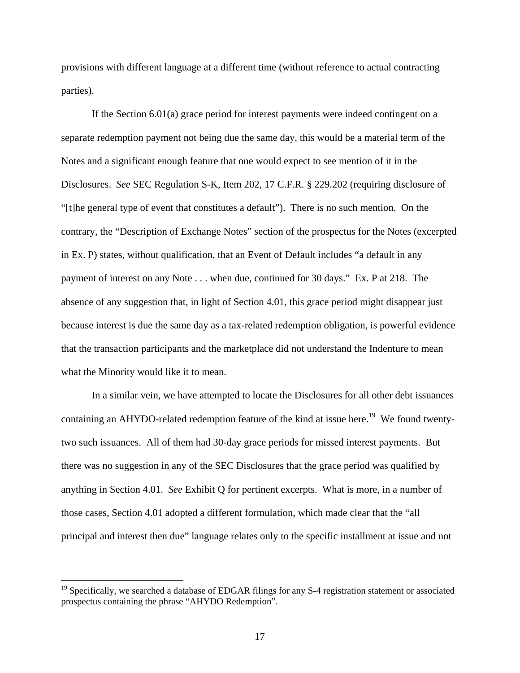provisions with different language at a different time (without reference to actual contracting parties).

If the Section 6.01(a) grace period for interest payments were indeed contingent on a separate redemption payment not being due the same day, this would be a material term of the Notes and a significant enough feature that one would expect to see mention of it in the Disclosures. *See* SEC Regulation S-K, Item 202, 17 C.F.R. § 229.202 (requiring disclosure of "[t]he general type of event that constitutes a default"). There is no such mention. On the contrary, the "Description of Exchange Notes" section of the prospectus for the Notes (excerpted in Ex. P) states, without qualification, that an Event of Default includes "a default in any payment of interest on any Note . . . when due, continued for 30 days." Ex. P at 218. The absence of any suggestion that, in light of Section 4.01, this grace period might disappear just because interest is due the same day as a tax-related redemption obligation, is powerful evidence that the transaction participants and the marketplace did not understand the Indenture to mean what the Minority would like it to mean.

 In a similar vein, we have attempted to locate the Disclosures for all other debt issuances containing an AHYDO-related redemption feature of the kind at issue here.<sup>19</sup> We found twentytwo such issuances. All of them had 30-day grace periods for missed interest payments. But there was no suggestion in any of the SEC Disclosures that the grace period was qualified by anything in Section 4.01. *See* Exhibit Q for pertinent excerpts. What is more, in a number of those cases, Section 4.01 adopted a different formulation, which made clear that the "all principal and interest then due" language relates only to the specific installment at issue and not

<sup>&</sup>lt;sup>19</sup> Specifically, we searched a database of EDGAR filings for any S-4 registration statement or associated prospectus containing the phrase "AHYDO Redemption".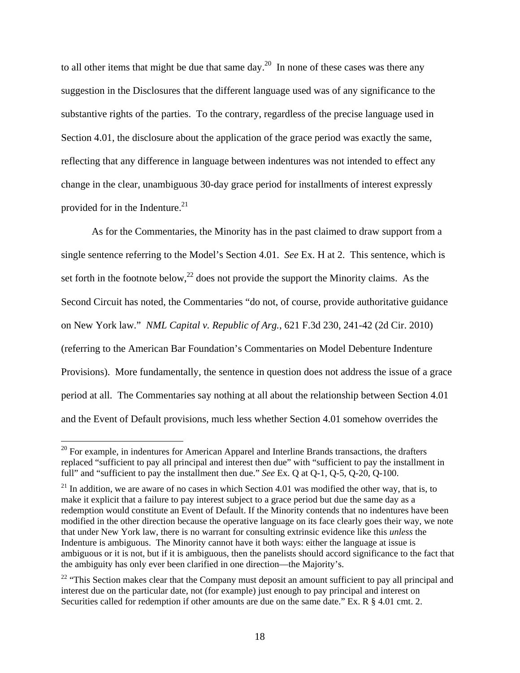to all other items that might be due that same day.<sup>20</sup> In none of these cases was there any suggestion in the Disclosures that the different language used was of any significance to the substantive rights of the parties. To the contrary, regardless of the precise language used in Section 4.01, the disclosure about the application of the grace period was exactly the same, reflecting that any difference in language between indentures was not intended to effect any change in the clear, unambiguous 30-day grace period for installments of interest expressly provided for in the Indenture. $^{21}$ 

As for the Commentaries, the Minority has in the past claimed to draw support from a single sentence referring to the Model's Section 4.01. *See* Ex. H at 2. This sentence, which is set forth in the footnote below,<sup>22</sup> does not provide the support the Minority claims. As the Second Circuit has noted, the Commentaries "do not, of course, provide authoritative guidance on New York law." *NML Capital v. Republic of Arg.*, 621 F.3d 230, 241-42 (2d Cir. 2010) (referring to the American Bar Foundation's Commentaries on Model Debenture Indenture Provisions). More fundamentally, the sentence in question does not address the issue of a grace period at all. The Commentaries say nothing at all about the relationship between Section 4.01 and the Event of Default provisions, much less whether Section 4.01 somehow overrides the

 $20$  For example, in indentures for American Apparel and Interline Brands transactions, the drafters replaced "sufficient to pay all principal and interest then due" with "sufficient to pay the installment in full" and "sufficient to pay the installment then due." *See* Ex. Q at Q-1, Q-5, Q-20, Q-100.

 $21$  In addition, we are aware of no cases in which Section 4.01 was modified the other way, that is, to make it explicit that a failure to pay interest subject to a grace period but due the same day as a redemption would constitute an Event of Default. If the Minority contends that no indentures have been modified in the other direction because the operative language on its face clearly goes their way, we note that under New York law, there is no warrant for consulting extrinsic evidence like this *unless* the Indenture is ambiguous. The Minority cannot have it both ways: either the language at issue is ambiguous or it is not, but if it is ambiguous, then the panelists should accord significance to the fact that the ambiguity has only ever been clarified in one direction—the Majority's.

<sup>&</sup>lt;sup>22</sup> "This Section makes clear that the Company must deposit an amount sufficient to pay all principal and interest due on the particular date, not (for example) just enough to pay principal and interest on Securities called for redemption if other amounts are due on the same date." Ex. R § 4.01 cmt. 2.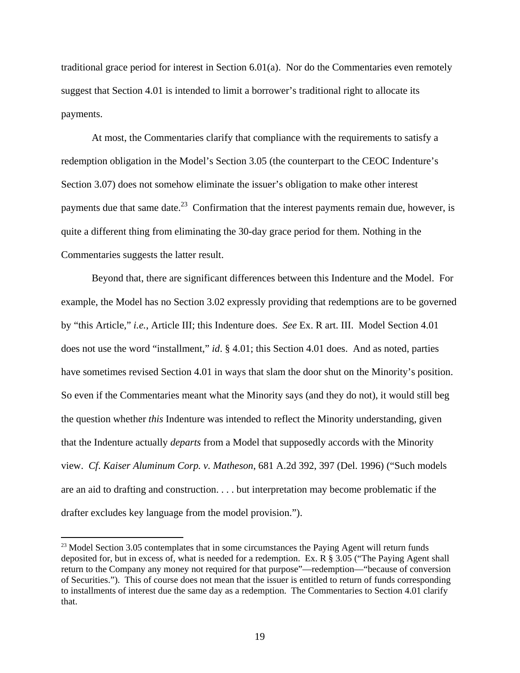traditional grace period for interest in Section 6.01(a). Nor do the Commentaries even remotely suggest that Section 4.01 is intended to limit a borrower's traditional right to allocate its payments.

At most, the Commentaries clarify that compliance with the requirements to satisfy a redemption obligation in the Model's Section 3.05 (the counterpart to the CEOC Indenture's Section 3.07) does not somehow eliminate the issuer's obligation to make other interest payments due that same date.<sup>23</sup> Confirmation that the interest payments remain due, however, is quite a different thing from eliminating the 30-day grace period for them. Nothing in the Commentaries suggests the latter result.

Beyond that, there are significant differences between this Indenture and the Model. For example, the Model has no Section 3.02 expressly providing that redemptions are to be governed by "this Article," *i.e.*, Article III; this Indenture does. *See* Ex. R art. III. Model Section 4.01 does not use the word "installment," *id*. § 4.01; this Section 4.01 does. And as noted, parties have sometimes revised Section 4.01 in ways that slam the door shut on the Minority's position. So even if the Commentaries meant what the Minority says (and they do not), it would still beg the question whether *this* Indenture was intended to reflect the Minority understanding, given that the Indenture actually *departs* from a Model that supposedly accords with the Minority view. *Cf*. *Kaiser Aluminum Corp. v. Matheson*, 681 A.2d 392, 397 (Del. 1996) ("Such models are an aid to drafting and construction. . . . but interpretation may become problematic if the drafter excludes key language from the model provision.").

<sup>&</sup>lt;sup>23</sup> Model Section 3.05 contemplates that in some circumstances the Paying Agent will return funds deposited for, but in excess of, what is needed for a redemption. Ex. R § 3.05 ("The Paying Agent shall return to the Company any money not required for that purpose"—redemption—"because of conversion of Securities."). This of course does not mean that the issuer is entitled to return of funds corresponding to installments of interest due the same day as a redemption. The Commentaries to Section 4.01 clarify that.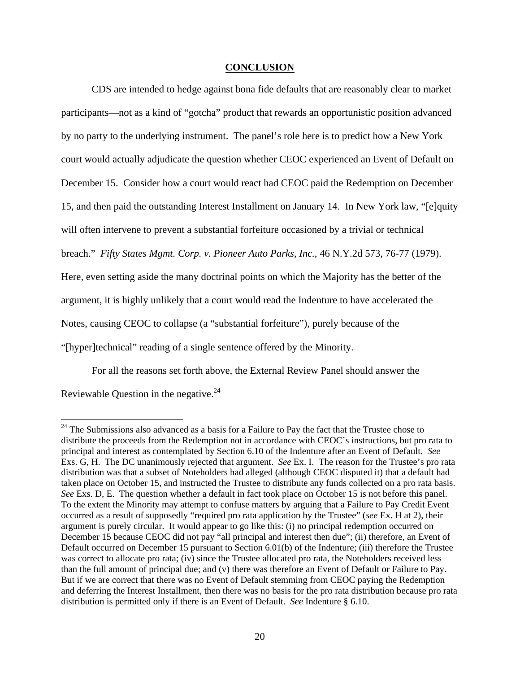#### **CONCLUSION**

CDS are intended to hedge against bona fide defaults that are reasonably clear to market participants—not as a kind of "gotcha" product that rewards an opportunistic position advanced by no party to the underlying instrument. The panel's role here is to predict how a New York court would actually adjudicate the question whether CEOC experienced an Event of Default on December 15. Consider how a court would react had CEOC paid the Redemption on December 15, and then paid the outstanding Interest Installment on January 14. In New York law, "[e]quity will often intervene to prevent a substantial forfeiture occasioned by a trivial or technical breach." *Fifty States Mgmt. Corp. v. Pioneer Auto Parks, Inc.*, 46 N.Y.2d 573, 76-77 (1979). Here, even setting aside the many doctrinal points on which the Majority has the better of the argument, it is highly unlikely that a court would read the Indenture to have accelerated the Notes, causing CEOC to collapse (a "substantial forfeiture"), purely because of the "[hyper]technical" reading of a single sentence offered by the Minority.

For all the reasons set forth above, the External Review Panel should answer the Reviewable Question in the negative. $24$ 

 $24$  The Submissions also advanced as a basis for a Failure to Pay the fact that the Trustee chose to distribute the proceeds from the Redemption not in accordance with CEOC's instructions, but pro rata to principal and interest as contemplated by Section 6.10 of the Indenture after an Event of Default. *See*  Exs. G, H. The DC unanimously rejected that argument. *See* Ex. I. The reason for the Trustee's pro rata distribution was that a subset of Noteholders had alleged (although CEOC disputed it) that a default had taken place on October 15, and instructed the Trustee to distribute any funds collected on a pro rata basis. *See* Exs. D, E. The question whether a default in fact took place on October 15 is not before this panel. To the extent the Minority may attempt to confuse matters by arguing that a Failure to Pay Credit Event occurred as a result of supposedly "required pro rata application by the Trustee" (*see* Ex. H at 2), their argument is purely circular. It would appear to go like this: (i) no principal redemption occurred on December 15 because CEOC did not pay "all principal and interest then due"; (ii) therefore, an Event of Default occurred on December 15 pursuant to Section 6.01(b) of the Indenture; (iii) therefore the Trustee was correct to allocate pro rata; (iv) since the Trustee allocated pro rata, the Noteholders received less than the full amount of principal due; and (v) there was therefore an Event of Default or Failure to Pay. But if we are correct that there was no Event of Default stemming from CEOC paying the Redemption and deferring the Interest Installment, then there was no basis for the pro rata distribution because pro rata distribution is permitted only if there is an Event of Default. *See* Indenture § 6.10.